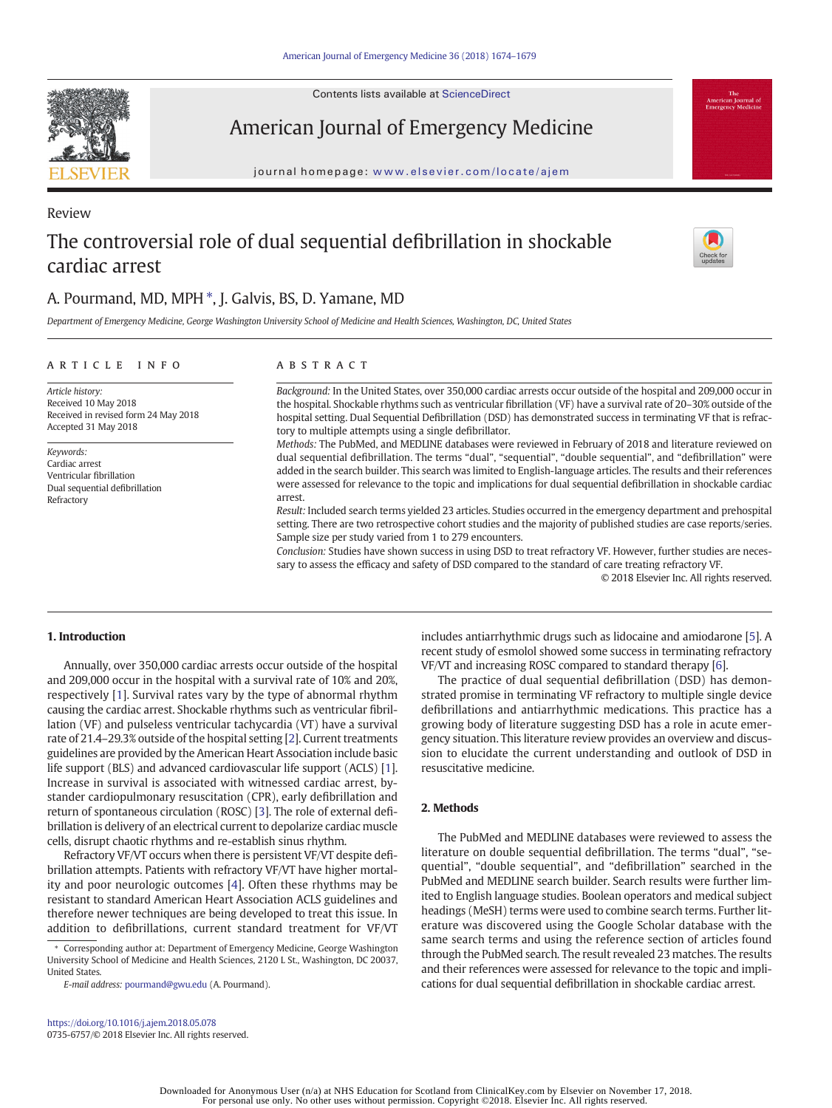Contents lists available at ScienceDirect

American Journal of Emergency Medicine

journal homepage: <www.elsevier.com/locate/ajem>

# The controversial role of dual sequential defibrillation in shockable cardiac arrest

# A. Pourmand, MD, MPH  $^*$ , J. Galvis, BS, D. Yamane, MD

Department of Emergency Medicine, George Washington University School of Medicine and Health Sciences, Washington, DC, United States

### article info abstract

Article history: Received 10 May 2018 Received in revised form 24 May 2018 Accepted 31 May 2018

Keywords: Cardiac arrest Ventricular fibrillation Dual sequential defibrillation Refractory

Background: In the United States, over 350,000 cardiac arrests occur outside of the hospital and 209,000 occur in the hospital. Shockable rhythms such as ventricular fibrillation (VF) have a survival rate of 20–30% outside of the hospital setting. Dual Sequential Defibrillation (DSD) has demonstrated success in terminating VF that is refractory to multiple attempts using a single defibrillator.

Methods: The PubMed, and MEDLINE databases were reviewed in February of 2018 and literature reviewed on dual sequential defibrillation. The terms "dual", "sequential", "double sequential", and "defibrillation" were added in the search builder. This search was limited to English-language articles. The results and their references were assessed for relevance to the topic and implications for dual sequential defibrillation in shockable cardiac arrest.

Result: Included search terms yielded 23 articles. Studies occurred in the emergency department and prehospital setting. There are two retrospective cohort studies and the majority of published studies are case reports/series. Sample size per study varied from 1 to 279 encounters.

Conclusion: Studies have shown success in using DSD to treat refractory VF. However, further studies are necessary to assess the efficacy and safety of DSD compared to the standard of care treating refractory VF.

© 2018 Elsevier Inc. All rights reserved.

# 1. Introduction

Annually, over 350,000 cardiac arrests occur outside of the hospital and 209,000 occur in the hospital with a survival rate of 10% and 20%, respectively [\[1\]](#page-4-0). Survival rates vary by the type of abnormal rhythm causing the cardiac arrest. Shockable rhythms such as ventricular fibrillation (VF) and pulseless ventricular tachycardia (VT) have a survival rate of 21.4–29.3% outside of the hospital setting [[2](#page-4-0)]. Current treatments guidelines are provided by the American Heart Association include basic life support (BLS) and advanced cardiovascular life support (ACLS) [[1](#page-4-0)]. Increase in survival is associated with witnessed cardiac arrest, bystander cardiopulmonary resuscitation (CPR), early defibrillation and return of spontaneous circulation (ROSC) [\[3\]](#page-4-0). The role of external defibrillation is delivery of an electrical current to depolarize cardiac muscle cells, disrupt chaotic rhythms and re-establish sinus rhythm.

Refractory VF/VT occurs when there is persistent VF/VT despite defibrillation attempts. Patients with refractory VF/VT have higher mortality and poor neurologic outcomes [[4](#page-4-0)]. Often these rhythms may be resistant to standard American Heart Association ACLS guidelines and therefore newer techniques are being developed to treat this issue. In addition to defibrillations, current standard treatment for VF/VT

⁎ Corresponding author at: Department of Emergency Medicine, George Washington University School of Medicine and Health Sciences, 2120 L St., Washington, DC 20037, United States.

E-mail address: <pourmand@gwu.edu> (A. Pourmand).

<https://doi.org/10.1016/j.ajem.2018.05.078> 0735-6757/© 2018 Elsevier Inc. All rights reserved. includes antiarrhythmic drugs such as lidocaine and amiodarone [\[5\]](#page-4-0). A recent study of esmolol showed some success in terminating refractory VF/VT and increasing ROSC compared to standard therapy [[6](#page-4-0)].

The practice of dual sequential defibrillation (DSD) has demonstrated promise in terminating VF refractory to multiple single device defibrillations and antiarrhythmic medications. This practice has a growing body of literature suggesting DSD has a role in acute emergency situation. This literature review provides an overview and discussion to elucidate the current understanding and outlook of DSD in resuscitative medicine.

# 2. Methods

The PubMed and MEDLINE databases were reviewed to assess the literature on double sequential defibrillation. The terms "dual", "sequential", "double sequential", and "defibrillation" searched in the PubMed and MEDLINE search builder. Search results were further limited to English language studies. Boolean operators and medical subject headings (MeSH) terms were used to combine search terms. Further literature was discovered using the Google Scholar database with the same search terms and using the reference section of articles found through the PubMed search. The result revealed 23 matches. The results and their references were assessed for relevance to the topic and implications for dual sequential defibrillation in shockable cardiac arrest.





Review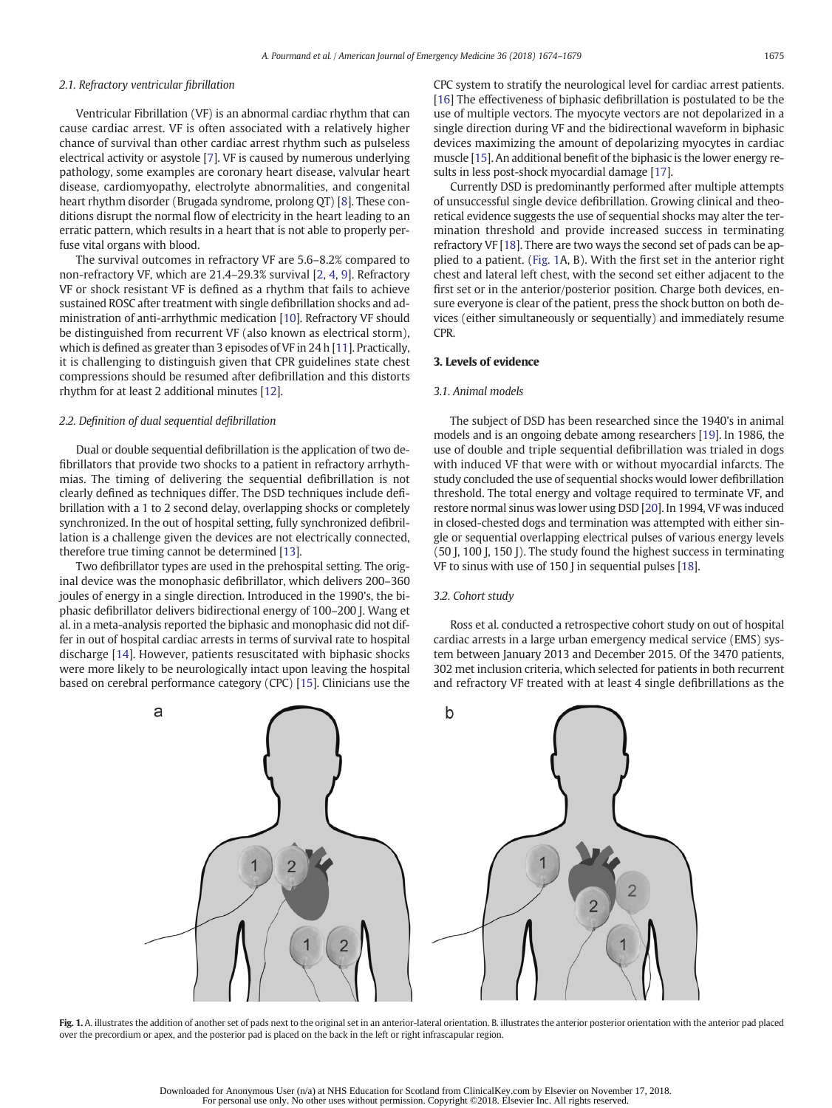## 2.1. Refractory ventricular fibrillation

Ventricular Fibrillation (VF) is an abnormal cardiac rhythm that can cause cardiac arrest. VF is often associated with a relatively higher chance of survival than other cardiac arrest rhythm such as pulseless electrical activity or asystole [\[7\]](#page-4-0). VF is caused by numerous underlying pathology, some examples are coronary heart disease, valvular heart disease, cardiomyopathy, electrolyte abnormalities, and congenital heart rhythm disorder (Brugada syndrome, prolong QT) [\[8\]](#page-4-0). These conditions disrupt the normal flow of electricity in the heart leading to an erratic pattern, which results in a heart that is not able to properly perfuse vital organs with blood.

The survival outcomes in refractory VF are 5.6–8.2% compared to non-refractory VF, which are 21.4–29.3% survival [[2,](#page-4-0) [4](#page-4-0), [9\]](#page-4-0). Refractory VF or shock resistant VF is defined as a rhythm that fails to achieve sustained ROSC after treatment with single defibrillation shocks and administration of anti-arrhythmic medication [[10\]](#page-4-0). Refractory VF should be distinguished from recurrent VF (also known as electrical storm), which is defined as greater than 3 episodes of VF in 24 h [\[11](#page-4-0)]. Practically, it is challenging to distinguish given that CPR guidelines state chest compressions should be resumed after defibrillation and this distorts rhythm for at least 2 additional minutes [\[12](#page-4-0)].

#### 2.2. Definition of dual sequential defibrillation

Dual or double sequential defibrillation is the application of two defibrillators that provide two shocks to a patient in refractory arrhythmias. The timing of delivering the sequential defibrillation is not clearly defined as techniques differ. The DSD techniques include defibrillation with a 1 to 2 second delay, overlapping shocks or completely synchronized. In the out of hospital setting, fully synchronized defibrillation is a challenge given the devices are not electrically connected, therefore true timing cannot be determined [[13\]](#page-4-0).

Two defibrillator types are used in the prehospital setting. The original device was the monophasic defibrillator, which delivers 200–360 joules of energy in a single direction. Introduced in the 1990's, the biphasic defibrillator delivers bidirectional energy of 100–200 J. Wang et al. in a meta-analysis reported the biphasic and monophasic did not differ in out of hospital cardiac arrests in terms of survival rate to hospital discharge [\[14](#page-5-0)]. However, patients resuscitated with biphasic shocks were more likely to be neurologically intact upon leaving the hospital based on cerebral performance category (CPC) [\[15\]](#page-5-0). Clinicians use the CPC system to stratify the neurological level for cardiac arrest patients. [\[16](#page-5-0)] The effectiveness of biphasic defibrillation is postulated to be the use of multiple vectors. The myocyte vectors are not depolarized in a single direction during VF and the bidirectional waveform in biphasic devices maximizing the amount of depolarizing myocytes in cardiac muscle [\[15\]](#page-5-0). An additional benefit of the biphasic is the lower energy results in less post-shock myocardial damage [[17](#page-5-0)].

Currently DSD is predominantly performed after multiple attempts of unsuccessful single device defibrillation. Growing clinical and theoretical evidence suggests the use of sequential shocks may alter the termination threshold and provide increased success in terminating refractory VF [[18\]](#page-5-0). There are two ways the second set of pads can be applied to a patient. (Fig. 1A, B). With the first set in the anterior right chest and lateral left chest, with the second set either adjacent to the first set or in the anterior/posterior position. Charge both devices, ensure everyone is clear of the patient, press the shock button on both devices (either simultaneously or sequentially) and immediately resume CPR.

#### 3. Levels of evidence

#### 3.1. Animal models

The subject of DSD has been researched since the 1940's in animal models and is an ongoing debate among researchers [\[19](#page-5-0)]. In 1986, the use of double and triple sequential defibrillation was trialed in dogs with induced VF that were with or without myocardial infarcts. The study concluded the use of sequential shocks would lower defibrillation threshold. The total energy and voltage required to terminate VF, and restore normal sinus was lower using DSD [\[20\]](#page-5-0). In 1994, VF was induced in closed-chested dogs and termination was attempted with either single or sequential overlapping electrical pulses of various energy levels (50 J, 100 J, 150 J). The study found the highest success in terminating VF to sinus with use of 150 J in sequential pulses [\[18\]](#page-5-0).

#### 3.2. Cohort study

Ross et al. conducted a retrospective cohort study on out of hospital cardiac arrests in a large urban emergency medical service (EMS) system between January 2013 and December 2015. Of the 3470 patients, 302 met inclusion criteria, which selected for patients in both recurrent and refractory VF treated with at least 4 single defibrillations as the



Fig. 1. A. illustrates the addition of another set of pads next to the original set in an anterior-lateral orientation. B. illustrates the anterior posterior orientation with the anterior pad placed over the precordium or apex, and the posterior pad is placed on the back in the left or right infrascapular region.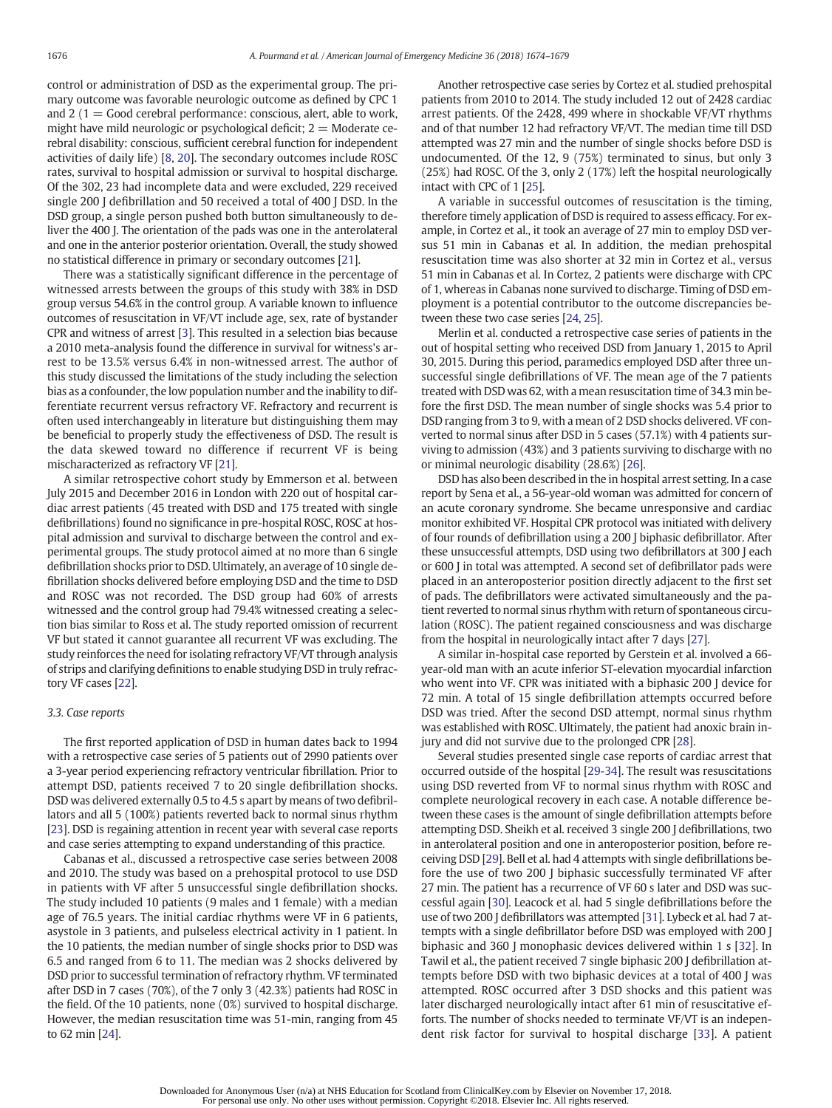control or administration of DSD as the experimental group. The primary outcome was favorable neurologic outcome as defined by CPC 1 and 2 ( $1 =$  Good cerebral performance: conscious, alert, able to work, might have mild neurologic or psychological deficit;  $2 =$  Moderate cerebral disability: conscious, sufficient cerebral function for independent activities of daily life) [\[8,](#page-4-0) [20](#page-5-0)]. The secondary outcomes include ROSC rates, survival to hospital admission or survival to hospital discharge. Of the 302, 23 had incomplete data and were excluded, 229 received single 200 J defibrillation and 50 received a total of 400 J DSD. In the DSD group, a single person pushed both button simultaneously to deliver the 400 J. The orientation of the pads was one in the anterolateral and one in the anterior posterior orientation. Overall, the study showed no statistical difference in primary or secondary outcomes [[21\]](#page-5-0).

There was a statistically significant difference in the percentage of witnessed arrests between the groups of this study with 38% in DSD group versus 54.6% in the control group. A variable known to influence outcomes of resuscitation in VF/VT include age, sex, rate of bystander CPR and witness of arrest [\[3\]](#page-4-0). This resulted in a selection bias because a 2010 meta-analysis found the difference in survival for witness's arrest to be 13.5% versus 6.4% in non-witnessed arrest. The author of this study discussed the limitations of the study including the selection bias as a confounder, the low population number and the inability to differentiate recurrent versus refractory VF. Refractory and recurrent is often used interchangeably in literature but distinguishing them may be beneficial to properly study the effectiveness of DSD. The result is the data skewed toward no difference if recurrent VF is being mischaracterized as refractory VF [[21\]](#page-5-0).

A similar retrospective cohort study by Emmerson et al. between July 2015 and December 2016 in London with 220 out of hospital cardiac arrest patients (45 treated with DSD and 175 treated with single defibrillations) found no significance in pre-hospital ROSC, ROSC at hospital admission and survival to discharge between the control and experimental groups. The study protocol aimed at no more than 6 single defibrillation shocks prior to DSD. Ultimately, an average of 10 single defibrillation shocks delivered before employing DSD and the time to DSD and ROSC was not recorded. The DSD group had 60% of arrests witnessed and the control group had 79.4% witnessed creating a selection bias similar to Ross et al. The study reported omission of recurrent VF but stated it cannot guarantee all recurrent VF was excluding. The study reinforces the need for isolating refractory VF/VT through analysis of strips and clarifying definitions to enable studying DSD in truly refractory VF cases [[22\]](#page-5-0).

#### 3.3. Case reports

The first reported application of DSD in human dates back to 1994 with a retrospective case series of 5 patients out of 2990 patients over a 3-year period experiencing refractory ventricular fibrillation. Prior to attempt DSD, patients received 7 to 20 single defibrillation shocks. DSD was delivered externally 0.5 to 4.5 s apart by means of two defibrillators and all 5 (100%) patients reverted back to normal sinus rhythm [\[23](#page-5-0)]. DSD is regaining attention in recent year with several case reports and case series attempting to expand understanding of this practice.

Cabanas et al., discussed a retrospective case series between 2008 and 2010. The study was based on a prehospital protocol to use DSD in patients with VF after 5 unsuccessful single defibrillation shocks. The study included 10 patients (9 males and 1 female) with a median age of 76.5 years. The initial cardiac rhythms were VF in 6 patients, asystole in 3 patients, and pulseless electrical activity in 1 patient. In the 10 patients, the median number of single shocks prior to DSD was 6.5 and ranged from 6 to 11. The median was 2 shocks delivered by DSD prior to successful termination of refractory rhythm. VF terminated after DSD in 7 cases (70%), of the 7 only 3 (42.3%) patients had ROSC in the field. Of the 10 patients, none (0%) survived to hospital discharge. However, the median resuscitation time was 51-min, ranging from 45 to 62 min [\[24\]](#page-5-0).

Another retrospective case series by Cortez et al. studied prehospital patients from 2010 to 2014. The study included 12 out of 2428 cardiac arrest patients. Of the 2428, 499 where in shockable VF/VT rhythms and of that number 12 had refractory VF/VT. The median time till DSD attempted was 27 min and the number of single shocks before DSD is undocumented. Of the 12, 9 (75%) terminated to sinus, but only 3 (25%) had ROSC. Of the 3, only 2 (17%) left the hospital neurologically intact with CPC of 1 [[25\]](#page-5-0).

A variable in successful outcomes of resuscitation is the timing, therefore timely application of DSD is required to assess efficacy. For example, in Cortez et al., it took an average of 27 min to employ DSD versus 51 min in Cabanas et al. In addition, the median prehospital resuscitation time was also shorter at 32 min in Cortez et al., versus 51 min in Cabanas et al. In Cortez, 2 patients were discharge with CPC of 1, whereas in Cabanas none survived to discharge. Timing of DSD employment is a potential contributor to the outcome discrepancies between these two case series [\[24](#page-5-0), [25](#page-5-0)].

Merlin et al. conducted a retrospective case series of patients in the out of hospital setting who received DSD from January 1, 2015 to April 30, 2015. During this period, paramedics employed DSD after three unsuccessful single defibrillations of VF. The mean age of the 7 patients treated with DSD was 62, with a mean resuscitation time of 34.3 min before the first DSD. The mean number of single shocks was 5.4 prior to DSD ranging from 3 to 9, with a mean of 2 DSD shocks delivered. VF converted to normal sinus after DSD in 5 cases (57.1%) with 4 patients surviving to admission (43%) and 3 patients surviving to discharge with no or minimal neurologic disability (28.6%) [[26\]](#page-5-0).

DSD has also been described in the in hospital arrest setting. In a case report by Sena et al., a 56-year-old woman was admitted for concern of an acute coronary syndrome. She became unresponsive and cardiac monitor exhibited VF. Hospital CPR protocol was initiated with delivery of four rounds of defibrillation using a 200 J biphasic defibrillator. After these unsuccessful attempts, DSD using two defibrillators at 300 J each or 600 J in total was attempted. A second set of defibrillator pads were placed in an anteroposterior position directly adjacent to the first set of pads. The defibrillators were activated simultaneously and the patient reverted to normal sinus rhythm with return of spontaneous circulation (ROSC). The patient regained consciousness and was discharge from the hospital in neurologically intact after 7 days [[27\]](#page-5-0).

A similar in-hospital case reported by Gerstein et al. involved a 66 year-old man with an acute inferior ST-elevation myocardial infarction who went into VF. CPR was initiated with a biphasic 200 I device for 72 min. A total of 15 single defibrillation attempts occurred before DSD was tried. After the second DSD attempt, normal sinus rhythm was established with ROSC. Ultimately, the patient had anoxic brain injury and did not survive due to the prolonged CPR [[28\]](#page-5-0).

Several studies presented single case reports of cardiac arrest that occurred outside of the hospital [[29-34](#page-5-0)]. The result was resuscitations using DSD reverted from VF to normal sinus rhythm with ROSC and complete neurological recovery in each case. A notable difference between these cases is the amount of single defibrillation attempts before attempting DSD. Sheikh et al. received 3 single 200 J defibrillations, two in anterolateral position and one in anteroposterior position, before receiving DSD [\[29\]](#page-5-0). Bell et al. had 4 attempts with single defibrillations before the use of two 200 J biphasic successfully terminated VF after 27 min. The patient has a recurrence of VF 60 s later and DSD was successful again [\[30](#page-5-0)]. Leacock et al. had 5 single defibrillations before the use of two 200 J defibrillators was attempted [\[31](#page-5-0)]. Lybeck et al. had 7 attempts with a single defibrillator before DSD was employed with 200 J biphasic and 360 J monophasic devices delivered within 1 s [[32](#page-5-0)]. In Tawil et al., the patient received 7 single biphasic 200 J defibrillation attempts before DSD with two biphasic devices at a total of 400 J was attempted. ROSC occurred after 3 DSD shocks and this patient was later discharged neurologically intact after 61 min of resuscitative efforts. The number of shocks needed to terminate VF/VT is an independent risk factor for survival to hospital discharge [[33\]](#page-5-0). A patient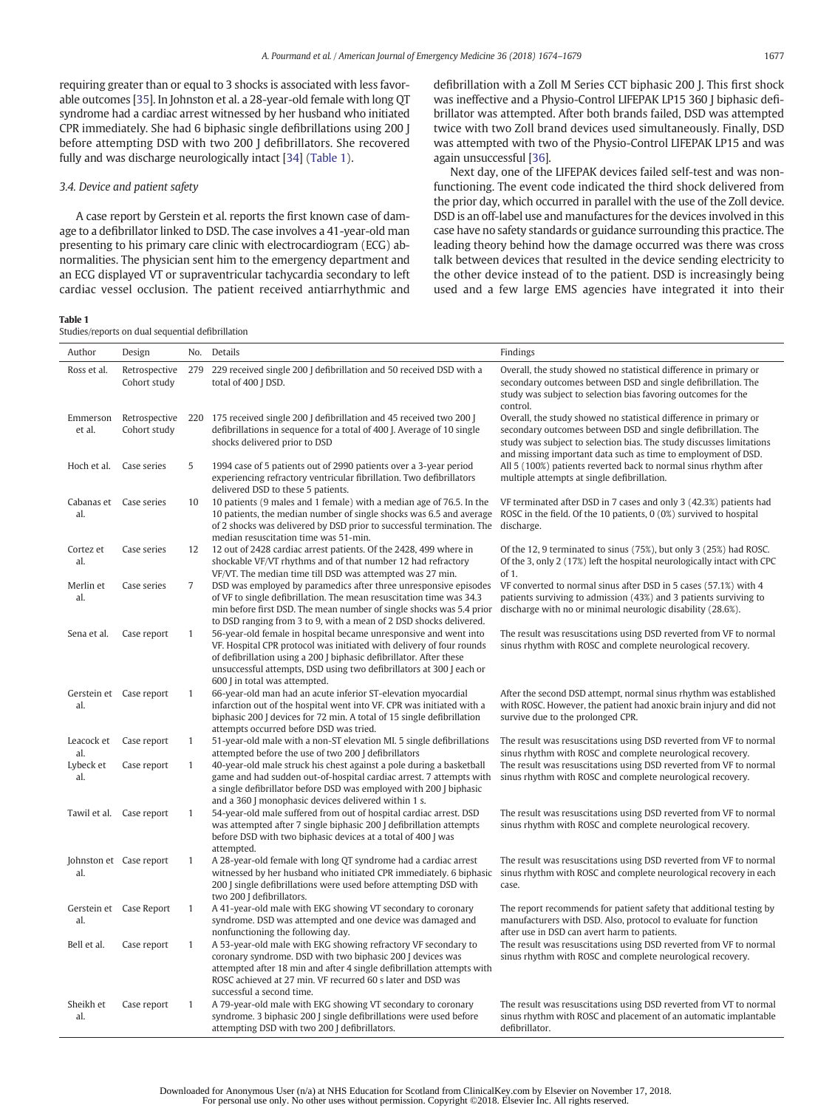requiring greater than or equal to 3 shocks is associated with less favorable outcomes [[35\]](#page-5-0). In Johnston et al. a 28-year-old female with long QT syndrome had a cardiac arrest witnessed by her husband who initiated CPR immediately. She had 6 biphasic single defibrillations using 200 J before attempting DSD with two 200 J defibrillators. She recovered fully and was discharge neurologically intact [\[34](#page-5-0)] (Table 1).

### 3.4. Device and patient safety

A case report by Gerstein et al. reports the first known case of damage to a defibrillator linked to DSD. The case involves a 41-year-old man presenting to his primary care clinic with electrocardiogram (ECG) abnormalities. The physician sent him to the emergency department and an ECG displayed VT or supraventricular tachycardia secondary to left cardiac vessel occlusion. The patient received antiarrhythmic and

#### Table 1

Studies/reports on dual sequential defibrillation

defibrillation with a Zoll M Series CCT biphasic 200 J. This first shock was ineffective and a Physio-Control LIFEPAK LP15 360 J biphasic defibrillator was attempted. After both brands failed, DSD was attempted twice with two Zoll brand devices used simultaneously. Finally, DSD was attempted with two of the Physio-Control LIFEPAK LP15 and was again unsuccessful [\[36](#page-5-0)].

Next day, one of the LIFEPAK devices failed self-test and was nonfunctioning. The event code indicated the third shock delivered from the prior day, which occurred in parallel with the use of the Zoll device. DSD is an off-label use and manufactures for the devices involved in this case have no safety standards or guidance surrounding this practice. The leading theory behind how the damage occurred was there was cross talk between devices that resulted in the device sending electricity to the other device instead of to the patient. DSD is increasingly being used and a few large EMS agencies have integrated it into their

| Author                         | Design                        |                | No. Details                                                                                                                                                                                                                                                                                                              | Findings                                                                                                                                                                                                                                                                    |
|--------------------------------|-------------------------------|----------------|--------------------------------------------------------------------------------------------------------------------------------------------------------------------------------------------------------------------------------------------------------------------------------------------------------------------------|-----------------------------------------------------------------------------------------------------------------------------------------------------------------------------------------------------------------------------------------------------------------------------|
| Ross et al.                    | Retrospective<br>Cohort study |                | 279 229 received single 200 J defibrillation and 50 received DSD with a<br>total of 400 J DSD.                                                                                                                                                                                                                           | Overall, the study showed no statistical difference in primary or<br>secondary outcomes between DSD and single defibrillation. The<br>study was subject to selection bias favoring outcomes for the<br>control.                                                             |
| Emmerson<br>et al.             | Retrospective<br>Cohort study |                | 220 175 received single 200 J defibrillation and 45 received two 200 J<br>defibrillations in sequence for a total of 400 J. Average of 10 single<br>shocks delivered prior to DSD                                                                                                                                        | Overall, the study showed no statistical difference in primary or<br>secondary outcomes between DSD and single defibrillation. The<br>study was subject to selection bias. The study discusses limitations<br>and missing important data such as time to employment of DSD. |
| Hoch et al.                    | Case series                   | 5              | 1994 case of 5 patients out of 2990 patients over a 3-year period<br>experiencing refractory ventricular fibrillation. Two defibrillators<br>delivered DSD to these 5 patients.                                                                                                                                          | All 5 (100%) patients reverted back to normal sinus rhythm after<br>multiple attempts at single defibrillation.                                                                                                                                                             |
| Cabanas et<br>al.              | Case series                   | 10             | 10 patients (9 males and 1 female) with a median age of 76.5. In the<br>10 patients, the median number of single shocks was 6.5 and average<br>of 2 shocks was delivered by DSD prior to successful termination. The<br>median resuscitation time was 51-min.                                                            | VF terminated after DSD in 7 cases and only 3 (42.3%) patients had<br>ROSC in the field. Of the 10 patients, 0 (0%) survived to hospital<br>discharge.                                                                                                                      |
| Cortez et<br>al.               | Case series                   | 12             | 12 out of 2428 cardiac arrest patients. Of the 2428, 499 where in<br>shockable VF/VT rhythms and of that number 12 had refractory<br>VF/VT. The median time till DSD was attempted was 27 min.                                                                                                                           | Of the 12, 9 terminated to sinus (75%), but only 3 (25%) had ROSC.<br>Of the 3, only 2 (17%) left the hospital neurologically intact with CPC<br>of 1.                                                                                                                      |
| Merlin et<br>al.               | Case series                   | $\overline{7}$ | DSD was employed by paramedics after three unresponsive episodes<br>of VF to single defibrillation. The mean resuscitation time was 34.3<br>min before first DSD. The mean number of single shocks was 5.4 prior<br>to DSD ranging from 3 to 9, with a mean of 2 DSD shocks delivered.                                   | VF converted to normal sinus after DSD in 5 cases (57.1%) with 4<br>patients surviving to admission (43%) and 3 patients surviving to<br>discharge with no or minimal neurologic disability (28.6%).                                                                        |
| Sena et al.                    | Case report                   | $\mathbf{1}$   | 56-year-old female in hospital became unresponsive and went into<br>VF. Hospital CPR protocol was initiated with delivery of four rounds<br>of defibrillation using a 200 J biphasic defibrillator. After these<br>unsuccessful attempts, DSD using two defibrillators at 300 J each or<br>600 J in total was attempted. | The result was resuscitations using DSD reverted from VF to normal<br>sinus rhythm with ROSC and complete neurological recovery.                                                                                                                                            |
| al.                            | Gerstein et Case report       | $\mathbf{1}$   | 66-year-old man had an acute inferior ST-elevation myocardial<br>infarction out of the hospital went into VF. CPR was initiated with a<br>biphasic 200 J devices for 72 min. A total of 15 single defibrillation<br>attempts occurred before DSD was tried.                                                              | After the second DSD attempt, normal sinus rhythm was established<br>with ROSC. However, the patient had anoxic brain injury and did not<br>survive due to the prolonged CPR.                                                                                               |
| Leacock et<br>al.              | Case report                   | $\mathbf{1}$   | 51-year-old male with a non-ST elevation MI. 5 single defibrillations<br>attempted before the use of two 200 J defibrillators                                                                                                                                                                                            | The result was resuscitations using DSD reverted from VF to normal<br>sinus rhythm with ROSC and complete neurological recovery.                                                                                                                                            |
| Lybeck et<br>al.               | Case report                   | $\mathbf{1}$   | 40-year-old male struck his chest against a pole during a basketball<br>game and had sudden out-of-hospital cardiac arrest. 7 attempts with<br>a single defibrillator before DSD was employed with 200 J biphasic<br>and a 360 J monophasic devices delivered within 1 s.                                                | The result was resuscitations using DSD reverted from VF to normal<br>sinus rhythm with ROSC and complete neurological recovery.                                                                                                                                            |
|                                | Tawil et al. Case report      | $\mathbf{1}$   | 54-year-old male suffered from out of hospital cardiac arrest. DSD<br>was attempted after 7 single biphasic 200 J defibrillation attempts<br>before DSD with two biphasic devices at a total of 400 J was<br>attempted.                                                                                                  | The result was resuscitations using DSD reverted from VF to normal<br>sinus rhythm with ROSC and complete neurological recovery.                                                                                                                                            |
| Johnston et Case report<br>al. |                               | 1              | A 28-year-old female with long QT syndrome had a cardiac arrest<br>witnessed by her husband who initiated CPR immediately. 6 biphasic<br>200 J single defibrillations were used before attempting DSD with<br>two 200 J defibrillators.                                                                                  | The result was resuscitations using DSD reverted from VF to normal<br>sinus rhythm with ROSC and complete neurological recovery in each<br>case.                                                                                                                            |
| al.                            | Gerstein et Case Report       | $\mathbf{1}$   | A 41-year-old male with EKG showing VT secondary to coronary<br>syndrome. DSD was attempted and one device was damaged and<br>nonfunctioning the following day.                                                                                                                                                          | The report recommends for patient safety that additional testing by<br>manufacturers with DSD. Also, protocol to evaluate for function<br>after use in DSD can avert harm to patients.                                                                                      |
| Bell et al.                    | Case report                   | $\mathbf{1}$   | A 53-year-old male with EKG showing refractory VF secondary to<br>coronary syndrome. DSD with two biphasic 200 J devices was<br>attempted after 18 min and after 4 single defibrillation attempts with<br>ROSC achieved at 27 min. VF recurred 60 s later and DSD was<br>successful a second time.                       | The result was resuscitations using DSD reverted from VF to normal<br>sinus rhythm with ROSC and complete neurological recovery.                                                                                                                                            |
| Sheikh et<br>al.               | Case report                   | $\mathbf{1}$   | A 79-year-old male with EKG showing VT secondary to coronary<br>syndrome. 3 biphasic 200 J single defibrillations were used before<br>attempting DSD with two 200 J defibrillators.                                                                                                                                      | The result was resuscitations using DSD reverted from VT to normal<br>sinus rhythm with ROSC and placement of an automatic implantable<br>defibrillator.                                                                                                                    |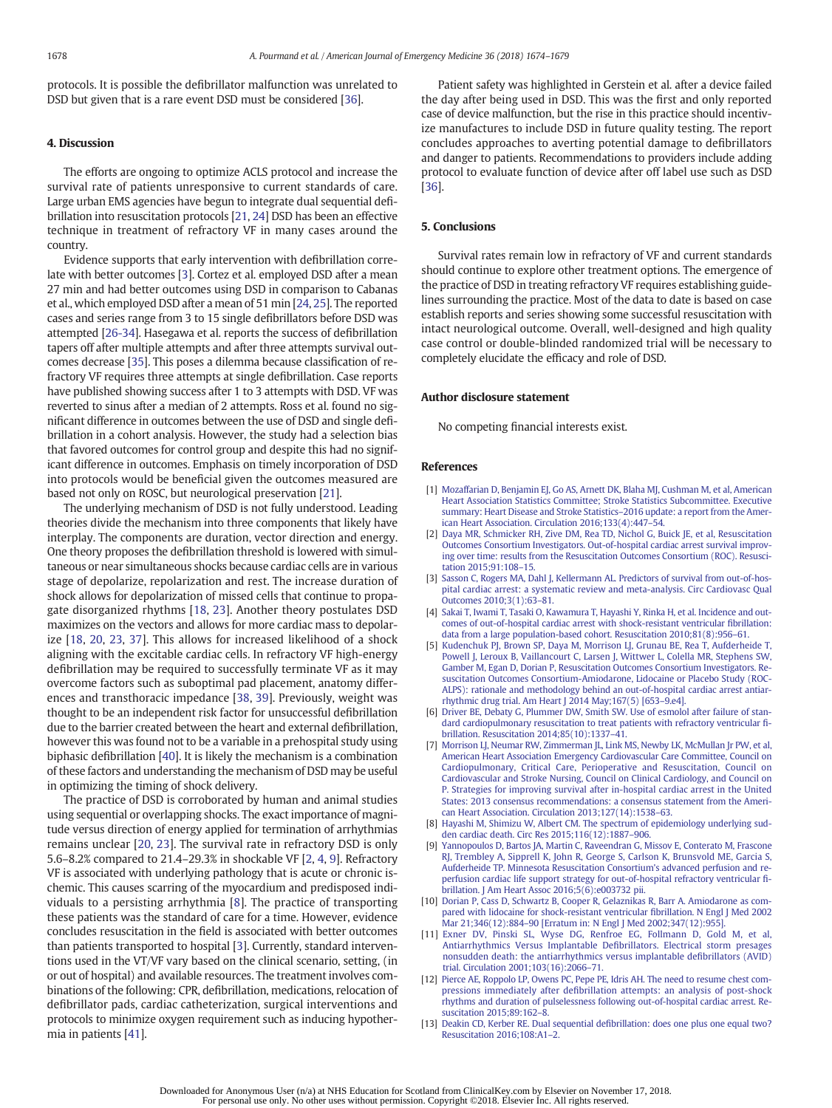<span id="page-4-0"></span>protocols. It is possible the defibrillator malfunction was unrelated to DSD but given that is a rare event DSD must be considered [[36\]](#page-5-0).

### 4. Discussion

The efforts are ongoing to optimize ACLS protocol and increase the survival rate of patients unresponsive to current standards of care. Large urban EMS agencies have begun to integrate dual sequential defibrillation into resuscitation protocols [\[21](#page-5-0), [24\]](#page-5-0) DSD has been an effective technique in treatment of refractory VF in many cases around the country.

Evidence supports that early intervention with defibrillation correlate with better outcomes [3]. Cortez et al. employed DSD after a mean 27 min and had better outcomes using DSD in comparison to Cabanas et al., which employed DSD after a mean of 51 min [\[24](#page-5-0), [25](#page-5-0)]. The reported cases and series range from 3 to 15 single defibrillators before DSD was attempted [[26-34](#page-5-0)]. Hasegawa et al. reports the success of defibrillation tapers off after multiple attempts and after three attempts survival outcomes decrease [\[35](#page-5-0)]. This poses a dilemma because classification of refractory VF requires three attempts at single defibrillation. Case reports have published showing success after 1 to 3 attempts with DSD. VF was reverted to sinus after a median of 2 attempts. Ross et al. found no significant difference in outcomes between the use of DSD and single defibrillation in a cohort analysis. However, the study had a selection bias that favored outcomes for control group and despite this had no significant difference in outcomes. Emphasis on timely incorporation of DSD into protocols would be beneficial given the outcomes measured are based not only on ROSC, but neurological preservation [\[21](#page-5-0)].

The underlying mechanism of DSD is not fully understood. Leading theories divide the mechanism into three components that likely have interplay. The components are duration, vector direction and energy. One theory proposes the defibrillation threshold is lowered with simultaneous or near simultaneous shocks because cardiac cells are in various stage of depolarize, repolarization and rest. The increase duration of shock allows for depolarization of missed cells that continue to propagate disorganized rhythms [[18,](#page-5-0) [23\]](#page-5-0). Another theory postulates DSD maximizes on the vectors and allows for more cardiac mass to depolarize [\[18](#page-5-0), [20,](#page-5-0) [23,](#page-5-0) [37\]](#page-5-0). This allows for increased likelihood of a shock aligning with the excitable cardiac cells. In refractory VF high-energy defibrillation may be required to successfully terminate VF as it may overcome factors such as suboptimal pad placement, anatomy differences and transthoracic impedance [[38,](#page-5-0) [39](#page-5-0)]. Previously, weight was thought to be an independent risk factor for unsuccessful defibrillation due to the barrier created between the heart and external defibrillation, however this was found not to be a variable in a prehospital study using biphasic defibrillation [\[40](#page-5-0)]. It is likely the mechanism is a combination of these factors and understanding the mechanism of DSD may be useful in optimizing the timing of shock delivery.

The practice of DSD is corroborated by human and animal studies using sequential or overlapping shocks. The exact importance of magnitude versus direction of energy applied for termination of arrhythmias remains unclear [[20,](#page-5-0) [23\]](#page-5-0). The survival rate in refractory DSD is only 5.6–8.2% compared to 21.4–29.3% in shockable VF [2, 4, 9]. Refractory VF is associated with underlying pathology that is acute or chronic ischemic. This causes scarring of the myocardium and predisposed individuals to a persisting arrhythmia [8]. The practice of transporting these patients was the standard of care for a time. However, evidence concludes resuscitation in the field is associated with better outcomes than patients transported to hospital [3]. Currently, standard interventions used in the VT/VF vary based on the clinical scenario, setting, (in or out of hospital) and available resources. The treatment involves combinations of the following: CPR, defibrillation, medications, relocation of defibrillator pads, cardiac catheterization, surgical interventions and protocols to minimize oxygen requirement such as inducing hypothermia in patients [[41\]](#page-5-0).

Patient safety was highlighted in Gerstein et al. after a device failed the day after being used in DSD. This was the first and only reported case of device malfunction, but the rise in this practice should incentivize manufactures to include DSD in future quality testing. The report concludes approaches to averting potential damage to defibrillators and danger to patients. Recommendations to providers include adding protocol to evaluate function of device after off label use such as DSD [\[36](#page-5-0)].

# 5. Conclusions

Survival rates remain low in refractory of VF and current standards should continue to explore other treatment options. The emergence of the practice of DSD in treating refractory VF requires establishing guidelines surrounding the practice. Most of the data to date is based on case establish reports and series showing some successful resuscitation with intact neurological outcome. Overall, well-designed and high quality case control or double-blinded randomized trial will be necessary to completely elucidate the efficacy and role of DSD.

#### Author disclosure statement

No competing financial interests exist.

#### References

- [1] [Mozaffarian D, Benjamin EJ, Go AS, Arnett DK, Blaha MJ, Cushman M, et al, American](http://refhub.elsevier.com/S0735-6757(18)30462-5/rf0005) [Heart Association Statistics Committee; Stroke Statistics Subcommittee. Executive](http://refhub.elsevier.com/S0735-6757(18)30462-5/rf0005) [summary: Heart Disease and Stroke Statistics](http://refhub.elsevier.com/S0735-6757(18)30462-5/rf0005)–2016 update: a report from the Amer[ican Heart Association. Circulation 2016;133\(4\):447](http://refhub.elsevier.com/S0735-6757(18)30462-5/rf0005)–54.
- [2] [Daya MR, Schmicker RH, Zive DM, Rea TD, Nichol G, Buick JE, et al, Resuscitation](http://refhub.elsevier.com/S0735-6757(18)30462-5/rf0010) [Outcomes Consortium Investigators. Out-of-hospital cardiac arrest survival improv](http://refhub.elsevier.com/S0735-6757(18)30462-5/rf0010)[ing over time: results from the Resuscitation Outcomes Consortium \(ROC\). Resusci](http://refhub.elsevier.com/S0735-6757(18)30462-5/rf0010)[tation 2015;91:108](http://refhub.elsevier.com/S0735-6757(18)30462-5/rf0010)–15.
- [3] [Sasson C, Rogers MA, Dahl J, Kellermann AL. Predictors of survival from out-of-hos](http://refhub.elsevier.com/S0735-6757(18)30462-5/rf0015)[pital cardiac arrest: a systematic review and meta-analysis. Circ Cardiovasc Qual](http://refhub.elsevier.com/S0735-6757(18)30462-5/rf0015) [Outcomes 2010;3\(1\):63](http://refhub.elsevier.com/S0735-6757(18)30462-5/rf0015)–81.
- [4] [Sakai T, Iwami T, Tasaki O, Kawamura T, Hayashi Y, Rinka H, et al. Incidence and out](http://refhub.elsevier.com/S0735-6757(18)30462-5/rf0020)[comes of out-of-hospital cardiac arrest with shock-resistant ventricular](http://refhub.elsevier.com/S0735-6757(18)30462-5/rf0020) fibrillation: [data from a large population-based cohort. Resuscitation 2010;81\(8\):956](http://refhub.elsevier.com/S0735-6757(18)30462-5/rf0020)–61.
- [5] [Kudenchuk PJ, Brown SP, Daya M, Morrison LJ, Grunau BE, Rea T, Aufderheide T,](http://refhub.elsevier.com/S0735-6757(18)30462-5/rf0025) [Powell J, Leroux B, Vaillancourt C, Larsen J, Wittwer L, Colella MR, Stephens SW,](http://refhub.elsevier.com/S0735-6757(18)30462-5/rf0025) [Gamber M, Egan D, Dorian P, Resuscitation Outcomes Consortium Investigators. Re](http://refhub.elsevier.com/S0735-6757(18)30462-5/rf0025)[suscitation Outcomes Consortium-Amiodarone, Lidocaine or Placebo Study \(ROC-](http://refhub.elsevier.com/S0735-6757(18)30462-5/rf0025)[ALPS\): rationale and methodology behind an out-of-hospital cardiac arrest antiar](http://refhub.elsevier.com/S0735-6757(18)30462-5/rf0025)[rhythmic drug trial. Am Heart J 2014 May;167\(5\) \[653](http://refhub.elsevier.com/S0735-6757(18)30462-5/rf0025)–9.e4].
- [6] [Driver BE, Debaty G, Plummer DW, Smith SW. Use of esmolol after failure of stan](http://refhub.elsevier.com/S0735-6757(18)30462-5/rf0030)[dard cardiopulmonary resuscitation to treat patients with refractory ventricular](http://refhub.elsevier.com/S0735-6757(18)30462-5/rf0030) fi[brillation. Resuscitation 2014;85\(10\):1337](http://refhub.elsevier.com/S0735-6757(18)30462-5/rf0030)–41.
- [Morrison LJ, Neumar RW, Zimmerman JL, Link MS, Newby LK, McMullan Jr PW, et al,](http://refhub.elsevier.com/S0735-6757(18)30462-5/rf0035) [American Heart Association Emergency Cardiovascular Care Committee, Council on](http://refhub.elsevier.com/S0735-6757(18)30462-5/rf0035) [Cardiopulmonary, Critical Care, Perioperative and Resuscitation, Council on](http://refhub.elsevier.com/S0735-6757(18)30462-5/rf0035) [Cardiovascular and Stroke Nursing, Council on Clinical Cardiology, and Council on](http://refhub.elsevier.com/S0735-6757(18)30462-5/rf0035) [P. Strategies for improving survival after in-hospital cardiac arrest in the United](http://refhub.elsevier.com/S0735-6757(18)30462-5/rf0035) [States: 2013 consensus recommendations: a consensus statement from the Ameri](http://refhub.elsevier.com/S0735-6757(18)30462-5/rf0035)[can Heart Association. Circulation 2013;127\(14\):1538](http://refhub.elsevier.com/S0735-6757(18)30462-5/rf0035)–63.
- [8] [Hayashi M, Shimizu W, Albert CM. The spectrum of epidemiology underlying sud](http://refhub.elsevier.com/S0735-6757(18)30462-5/rf0040)[den cardiac death. Circ Res 2015;116\(12\):1887](http://refhub.elsevier.com/S0735-6757(18)30462-5/rf0040)–906.
- [9] [Yannopoulos D, Bartos JA, Martin C, Raveendran G, Missov E, Conterato M, Frascone](http://refhub.elsevier.com/S0735-6757(18)30462-5/rf0045) [RJ, Trembley A, Sipprell K, John R, George S, Carlson K, Brunsvold ME, Garcia S,](http://refhub.elsevier.com/S0735-6757(18)30462-5/rf0045) [Aufderheide TP. Minnesota Resuscitation Consortium's advanced perfusion and re](http://refhub.elsevier.com/S0735-6757(18)30462-5/rf0045)[perfusion cardiac life support strategy for out-of-hospital refractory ventricular](http://refhub.elsevier.com/S0735-6757(18)30462-5/rf0045) fi[brillation. J Am Heart Assoc 2016;5\(6\):e003732 pii.](http://refhub.elsevier.com/S0735-6757(18)30462-5/rf0045)
- [10] [Dorian P, Cass D, Schwartz B, Cooper R, Gelaznikas R, Barr A. Amiodarone as com](http://refhub.elsevier.com/S0735-6757(18)30462-5/rf0050)[pared with lidocaine for shock-resistant ventricular](http://refhub.elsevier.com/S0735-6757(18)30462-5/rf0050) fibrillation. N Engl J Med 2002 Mar 21;346(12):884–[90 \[Erratum in: N Engl J Med 2002;347\(12\):955\].](http://refhub.elsevier.com/S0735-6757(18)30462-5/rf0050)
- [11] [Exner DV, Pinski SL, Wyse DG, Renfroe EG, Follmann D, Gold M, et al,](http://refhub.elsevier.com/S0735-6757(18)30462-5/rf0055) [Antiarrhythmics Versus Implantable De](http://refhub.elsevier.com/S0735-6757(18)30462-5/rf0055)fibrillators. Electrical storm presages [nonsudden death: the antiarrhythmics versus implantable de](http://refhub.elsevier.com/S0735-6757(18)30462-5/rf0055)fibrillators (AVID) [trial. Circulation 2001;103\(16\):2066](http://refhub.elsevier.com/S0735-6757(18)30462-5/rf0055)–71.
- [12] [Pierce AE, Roppolo LP, Owens PC, Pepe PE, Idris AH. The need to resume chest com](http://refhub.elsevier.com/S0735-6757(18)30462-5/rf0060)pressions immediately after defi[brillation attempts: an analysis of post-shock](http://refhub.elsevier.com/S0735-6757(18)30462-5/rf0060) [rhythms and duration of pulselessness following out-of-hospital cardiac arrest. Re](http://refhub.elsevier.com/S0735-6757(18)30462-5/rf0060)[suscitation 2015;89:162](http://refhub.elsevier.com/S0735-6757(18)30462-5/rf0060)–8.
- [13] [Deakin CD, Kerber RE. Dual sequential de](http://refhub.elsevier.com/S0735-6757(18)30462-5/rf0065)fibrillation: does one plus one equal two? [Resuscitation 2016;108:A1](http://refhub.elsevier.com/S0735-6757(18)30462-5/rf0065)–2.